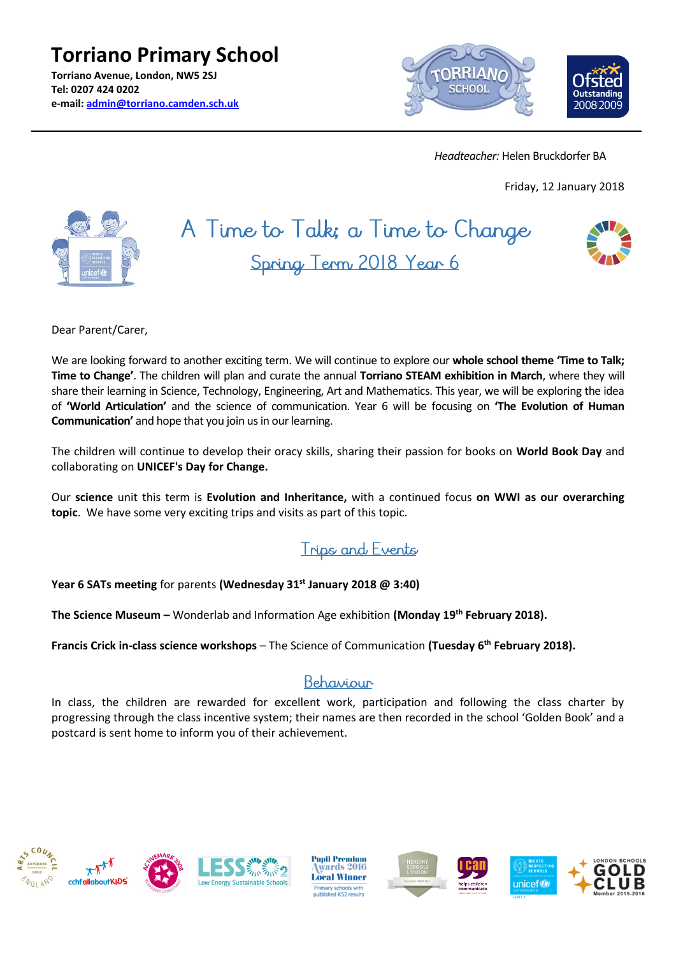**Torriano Primary School Torriano Avenue, London, NW5 2SJ Tel: 0207 424 0202 e-mail: [admin@torriano.camden.sch.uk](mailto:admin@torriano.camden.sch.uk)**



 *Headteacher:* Helen Bruckdorfer BA

Friday, 12 January 2018



# A Time to Talk; a Time to Change Spring Term 2018 Year 6



Dear Parent/Carer,

We are looking forward to another exciting term. We will continue to explore our **whole school theme 'Time to Talk; Time to Change'**. The children will plan and curate the annual **Torriano STEAM exhibition in March**, where they will share their learning in Science, Technology, Engineering, Art and Mathematics. This year, we will be exploring the idea of **'World Articulation'** and the science of communication. Year 6 will be focusing on **'The Evolution of Human Communication'** and hope that you join us in our learning.

The children will continue to develop their oracy skills, sharing their passion for books on **World Book Day** and collaborating on **UNICEF's Day for Change.**

Our **science** unit this term is **Evolution and Inheritance,** with a continued focus **on WWI as our overarching topic**. We have some very exciting trips and visits as part of this topic.

### **Trips and Events**

**Year 6 SATs meeting** for parents **(Wednesday 31st January 2018 @ 3:40)**

**The Science Museum –** Wonderlab and Information Age exhibition **(Monday 19th February 2018).**

**Francis Crick in-class science workshops** – The Science of Communication **(Tuesday 6 th February 2018).**

#### Behaviour

In class, the children are rewarded for excellent work, participation and following the class charter by progressing through the class incentive system; their names are then recorded in the school 'Golden Book' and a postcard is sent home to inform you of their achievement.







**Pupil Premium** wards 2016 **Local Winner** Primary schools with<br>iublished KS2 results





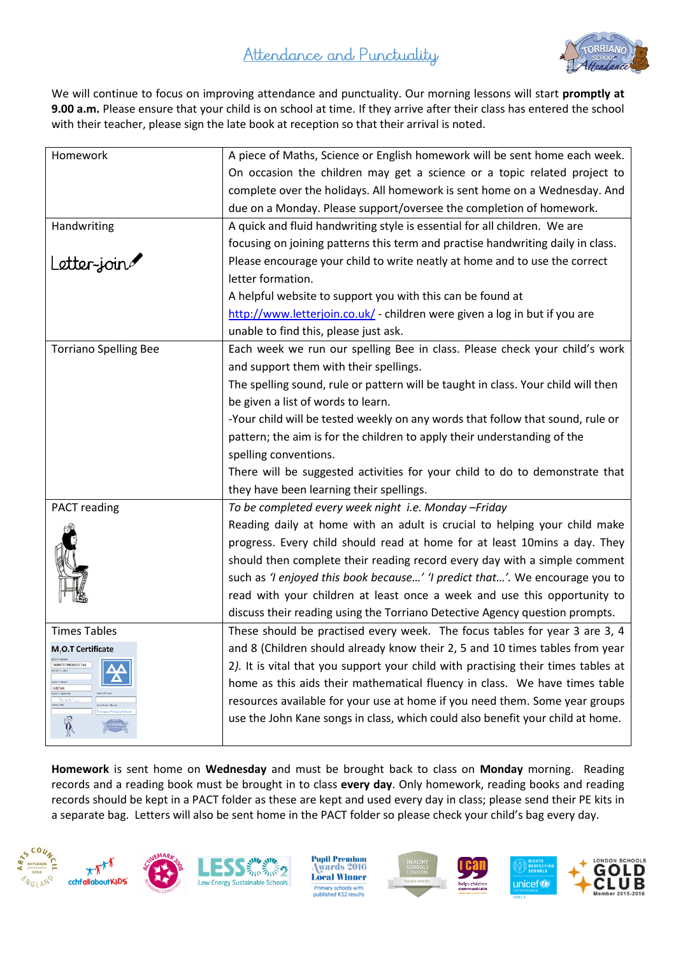# Attendance and Punctuality



We will continue to focus on improving attendance and punctuality. Our morning lessons will start **promptly at 9.00 a.m.** Please ensure that your child is on school at time. If they arrive after their class has entered the school with their teacher, please sign the late book at reception so that their arrival is noted.

| Homework                                                                                                                                               | A piece of Maths, Science or English homework will be sent home each week.        |
|--------------------------------------------------------------------------------------------------------------------------------------------------------|-----------------------------------------------------------------------------------|
|                                                                                                                                                        | On occasion the children may get a science or a topic related project to          |
|                                                                                                                                                        | complete over the holidays. All homework is sent home on a Wednesday. And         |
|                                                                                                                                                        | due on a Monday. Please support/oversee the completion of homework.               |
| Handwriting                                                                                                                                            | A quick and fluid handwriting style is essential for all children. We are         |
|                                                                                                                                                        | focusing on joining patterns this term and practise handwriting daily in class.   |
| Letter-join                                                                                                                                            | Please encourage your child to write neatly at home and to use the correct        |
|                                                                                                                                                        | letter formation.                                                                 |
|                                                                                                                                                        | A helpful website to support you with this can be found at                        |
|                                                                                                                                                        | http://www.letterjoin.co.uk/ - children were given a log in but if you are        |
|                                                                                                                                                        | unable to find this, please just ask.                                             |
| <b>Torriano Spelling Bee</b>                                                                                                                           | Each week we run our spelling Bee in class. Please check your child's work        |
|                                                                                                                                                        | and support them with their spellings.                                            |
|                                                                                                                                                        | The spelling sound, rule or pattern will be taught in class. Your child will then |
|                                                                                                                                                        | be given a list of words to learn.                                                |
|                                                                                                                                                        | -Your child will be tested weekly on any words that follow that sound, rule or    |
|                                                                                                                                                        | pattern; the aim is for the children to apply their understanding of the          |
|                                                                                                                                                        | spelling conventions.                                                             |
|                                                                                                                                                        | There will be suggested activities for your child to do to demonstrate that       |
|                                                                                                                                                        | they have been learning their spellings.                                          |
| PACT reading                                                                                                                                           | To be completed every week night i.e. Monday - Friday                             |
|                                                                                                                                                        | Reading daily at home with an adult is crucial to helping your child make         |
|                                                                                                                                                        | progress. Every child should read at home for at least 10mins a day. They         |
|                                                                                                                                                        | should then complete their reading record every day with a simple comment         |
|                                                                                                                                                        | such as 'I enjoyed this book because' 'I predict that'. We encourage you to       |
|                                                                                                                                                        | read with your children at least once a week and use this opportunity to          |
|                                                                                                                                                        | discuss their reading using the Torriano Detective Agency question prompts.       |
| <b>Times Tables</b>                                                                                                                                    | These should be practised every week. The focus tables for year 3 are 3, 4        |
| M, O.T Certificate                                                                                                                                     | and 8 (Children should already know their 2, 5 and 10 times tables from year      |
| M.O.T rumbe<br>569973799092017x0<br>Holder's name<br>suer's Name<br>Add'em<br>ssier's signatur<br><b>And</b><br>xpiry date<br>riano Primary Schoo<br>Å | 2). It is vital that you support your child with practising their times tables at |
|                                                                                                                                                        | home as this aids their mathematical fluency in class. We have times table        |
|                                                                                                                                                        | resources available for your use at home if you need them. Some year groups       |
|                                                                                                                                                        | use the John Kane songs in class, which could also benefit your child at home.    |
|                                                                                                                                                        |                                                                                   |

**Homework** is sent home on **Wednesday** and must be brought back to class on **Monday** morning. Reading records and a reading book must be brought in to class **every day**. Only homework, reading books and reading records should be kept in a PACT folder as these are kept and used every day in class; please send their PE kits in a separate bag. Letters will also be sent home in the PACT folder so please check your child's bag every day.







**Pupil Premium** wards 2016 **Local Winner** Primary schools with<br>published KS2 results